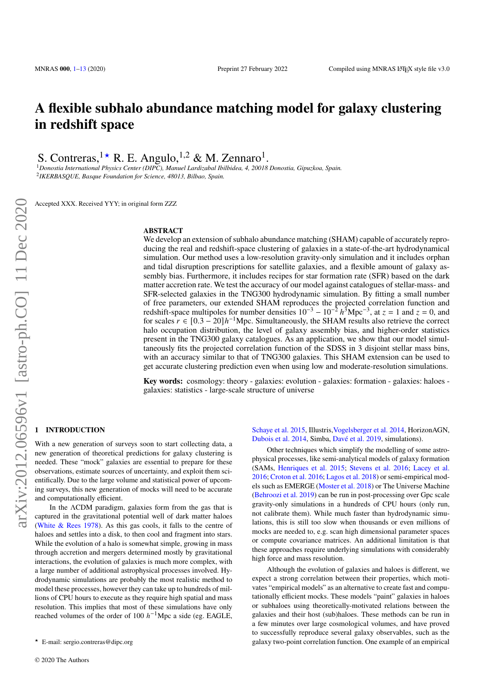# **A flexible subhalo abundance matching model for galaxy clustering in redshift space**

S. Contreras,<sup>1\*</sup> R. E. Angulo,<sup>1,2</sup> & M. Zennaro<sup>1</sup>.

<sup>1</sup>*Donostia International Physics Center (DIPC), Manuel Lardizabal Ibilbidea, 4, 20018 Donostia, Gipuzkoa, Spain.* 2 *IKERBASQUE, Basque Foundation for Science, 48013, Bilbao, Spain.*

Accepted XXX. Received YYY; in original form ZZZ

## **ABSTRACT**

We develop an extension of subhalo abundance matching (SHAM) capable of accurately reproducing the real and redshift-space clustering of galaxies in a state-of-the-art hydrodynamical simulation. Our method uses a low-resolution gravity-only simulation and it includes orphan and tidal disruption prescriptions for satellite galaxies, and a flexible amount of galaxy assembly bias. Furthermore, it includes recipes for star formation rate (SFR) based on the dark matter accretion rate. We test the accuracy of our model against catalogues of stellar-mass- and SFR-selected galaxies in the TNG300 hydrodynamic simulation. By fitting a small number of free parameters, our extended SHAM reproduces the projected correlation function and redshift-space multipoles for number densities  $10^{-3} - 10^{-2} h^3 Mpc^{-3}$ , at  $z = 1$  and  $z = 0$ , and for scales  $r \in [0.3 - 20]h^{-1}$ Mpc. Simultaneously, the SHAM results also retrieve the correct halo occupation distribution, the level of galaxy assembly bias, and higher-order statistics present in the TNG300 galaxy catalogues. As an application, we show that our model simultaneously fits the projected correlation function of the SDSS in 3 disjoint stellar mass bins, with an accuracy similar to that of TNG300 galaxies. This SHAM extension can be used to get accurate clustering prediction even when using low and moderate-resolution simulations.

**Key words:** cosmology: theory - galaxies: evolution - galaxies: formation - galaxies: haloes galaxies: statistics - large-scale structure of universe

## <span id="page-0-0"></span>**1 INTRODUCTION**

With a new generation of surveys soon to start collecting data, a new generation of theoretical predictions for galaxy clustering is needed. These "mock" galaxies are essential to prepare for these observations, estimate sources of uncertainty, and exploit them scientifically. Due to the large volume and statistical power of upcoming surveys, this new generation of mocks will need to be accurate and computationally efficient.

In the ΛCDM paradigm, galaxies form from the gas that is captured in the gravitational potential well of dark matter haloes [\(White & Rees](#page-12-0) [1978\)](#page-12-0). As this gas cools, it falls to the centre of haloes and settles into a disk, to then cool and fragment into stars. While the evolution of a halo is somewhat simple, growing in mass through accretion and mergers determined mostly by gravitational interactions, the evolution of galaxies is much more complex, with a large number of additional astrophysical processes involved. Hydrodynamic simulations are probably the most realistic method to model these processes, however they can take up to hundreds of millions of CPU hours to execute as they require high spatial and mass resolution. This implies that most of these simulations have only reached volumes of the order of 100  $h^{-1}$ Mpc a side (eg. EAGLE,

[Schaye et al.](#page-12-1) [2015,](#page-12-1) Illustris[,Vogelsberger et al.](#page-12-2) [2014,](#page-12-2) HorizonAGN, [Dubois et al.](#page-12-3) [2014,](#page-12-3) Simba, [Davé et al.](#page-12-4) [2019,](#page-12-4) simulations).

Other techniques which simplify the modelling of some astrophysical processes, like semi-analytical models of galaxy formation (SAMs, [Henriques et al.](#page-12-5) [2015;](#page-12-5) [Stevens et al.](#page-12-6) [2016;](#page-12-6) [Lacey et al.](#page-12-7) [2016;](#page-12-7) [Croton et al.](#page-12-8) [2016;](#page-12-8) [Lagos et al.](#page-12-9) [2018\)](#page-12-9) or semi-empirical models such as EMERGE [\(Moster et al.](#page-12-10) [2018\)](#page-12-10) or The Universe Machine [\(Behroozi et al.](#page-11-0) [2019\)](#page-11-0) can be run in post-processing over Gpc scale gravity-only simulations in a hundreds of CPU hours (only run, not calibrate them). While much faster than hydrodynamic simulations, this is still too slow when thousands or even millions of mocks are needed to, e.g. scan high dimensional parameter spaces or compute covariance matrices. An additional limitation is that these approaches require underlying simulations with considerably high force and mass resolution.

Although the evolution of galaxies and haloes is different, we expect a strong correlation between their properties, which motivates "empirical models" as an alternative to create fast and computationally efficient mocks. These models "paint" galaxies in haloes or subhaloes using theoretically-motivated relations between the galaxies and their host (sub)haloes. These methods can be run in a few minutes over large cosmological volumes, and have proved to successfully reproduce several galaxy observables, such as the galaxy two-point correlation function. One example of an empirical

<sup>★</sup> E-mail: sergio.contreras@dipc.org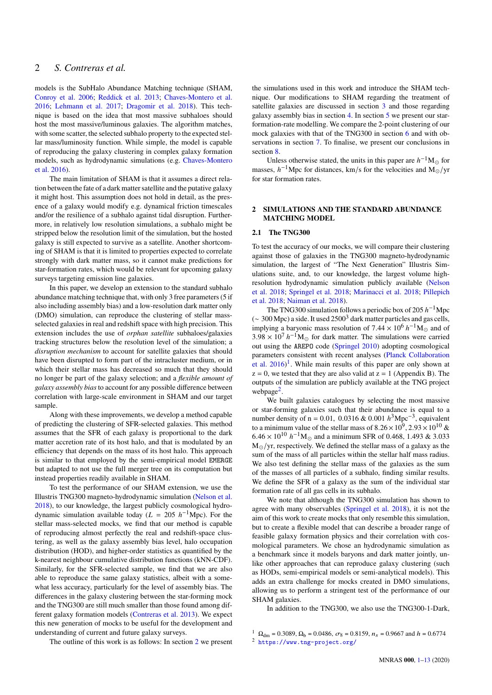models is the SubHalo Abundance Matching technique (SHAM, [Conroy et al.](#page-12-11) [2006;](#page-12-11) [Reddick et al.](#page-12-12) [2013;](#page-12-12) [Chaves-Montero et al.](#page-12-13) [2016;](#page-12-13) [Lehmann et al.](#page-12-14) [2017;](#page-12-14) [Dragomir et al.](#page-12-15) [2018\)](#page-12-15). This technique is based on the idea that most massive subhaloes should host the most massive/luminous galaxies. The algorithm matches, with some scatter, the selected subhalo property to the expected stellar mass/luminosity function. While simple, the model is capable of reproducing the galaxy clustering in complex galaxy formation models, such as hydrodynamic simulations (e.g. [Chaves-Montero](#page-12-13) [et al.](#page-12-13) [2016\)](#page-12-13).

The main limitation of SHAM is that it assumes a direct relation between the fate of a dark matter satellite and the putative galaxy it might host. This assumption does not hold in detail, as the presence of a galaxy would modify e.g. dynamical friction timescales and/or the resilience of a subhalo against tidal disruption. Furthermore, in relatively low resolution simulations, a subhalo might be stripped below the resolution limit of the simulation, but the hosted galaxy is still expected to survive as a satellite. Another shortcoming of SHAM is that it is limited to properties expected to correlate strongly with dark matter mass, so it cannot make predictions for star-formation rates, which would be relevant for upcoming galaxy surveys targeting emission line galaxies.

In this paper, we develop an extension to the standard subhalo abundance matching technique that, with only 3 free parameters (5 if also including assembly bias) and a low-resolution dark matter only (DMO) simulation, can reproduce the clustering of stellar massselected galaxies in real and redshift space with high precision. This extension includes the use of *orphan satellite* subhaloes/galaxies tracking structures below the resolution level of the simulation; a *disruption mechanism* to account for satellite galaxies that should have been disrupted to form part of the intracluster medium, or in which their stellar mass has decreased so much that they should no longer be part of the galaxy selection; and a *flexible amount of galaxy assembly bias*to account for any possible difference between correlation with large-scale environment in SHAM and our target sample.

Along with these improvements, we develop a method capable of predicting the clustering of SFR-selected galaxies. This method assumes that the SFR of each galaxy is proportional to the dark matter accretion rate of its host halo, and that is modulated by an efficiency that depends on the mass of its host halo. This approach is similar to that employed by the semi-empirical model EMERGE but adapted to not use the full merger tree on its computation but instead properties readily available in SHAM.

To test the performance of our SHAM extension, we use the Illustris TNG300 magneto-hydrodynamic simulation [\(Nelson et al.](#page-12-16) [2018\)](#page-12-16), to our knowledge, the largest publicly cosmological hydrodynamic simulation available today  $(L = 205 \; h^{-1} \text{Mpc})$ . For the stellar mass-selected mocks, we find that our method is capable of reproducing almost perfectly the real and redshift-space clustering, as well as the galaxy assembly bias level, halo occupation distribution (HOD), and higher-order statistics as quantified by the k-nearest neighbour cumulative distribution functions (kNN-CDF). Similarly, for the SFR-selected sample, we find that we are also able to reproduce the same galaxy statistics, albeit with a somewhat less accuracy, particularly for the level of assembly bias. The differences in the galaxy clustering between the star-forming mock and the TNG300 are still much smaller than those found among different galaxy formation models [\(Contreras et al.](#page-12-17) [2013\)](#page-12-17). We expect this new generation of mocks to be useful for the development and understanding of current and future galaxy surveys.

the simulations used in this work and introduce the SHAM technique. Our modifications to SHAM regarding the treatment of satellite galaxies are discussed in section [3](#page-3-0) and those regarding galaxy assembly bias in section [4.](#page-5-0) In section [5](#page-5-1) we present our starformation-rate modelling. We compare the 2-point clustering of our mock galaxies with that of the TNG300 in section [6](#page-6-0) and with observations in section [7.](#page-8-0) To finalise, we present our conclusions in section [8.](#page-10-0)

Unless otherwise stated, the units in this paper are  $h^{-1}M_{\odot}$  for masses,  $h^{-1}$ Mpc for distances, km/s for the velocities and M<sub>o</sub>/yr for star formation rates.

## <span id="page-1-0"></span>**2 SIMULATIONS AND THE STANDARD ABUNDANCE MATCHING MODEL**

## **2.1 The TNG300**

To test the accuracy of our mocks, we will compare their clustering against those of galaxies in the TNG300 magneto-hydrodynamic simulation, the largest of "The Next Generation" Illustris Simulations suite, and, to our knowledge, the largest volume highresolution hydrodynamic simulation publicly available [\(Nelson](#page-12-16) [et al.](#page-12-16) [2018;](#page-12-16) [Springel et al.](#page-12-18) [2018;](#page-12-18) [Marinacci et al.](#page-12-19) [2018;](#page-12-19) [Pillepich](#page-12-20) [et al.](#page-12-20) [2018;](#page-12-20) [Naiman et al.](#page-12-21) [2018\)](#page-12-21).

The TNG300 simulation follows a periodic box of 205  $h^{-1}$ Mpc (∼ 300 Mpc) a side. It used 2500<sup>3</sup> dark matter particles and gas cells, implying a baryonic mass resolution of  $7.44 \times 10^6$   $h^{-1}$ M<sub>o</sub> and of  $3.98 \times 10^7$   $h^{-1}$ M<sub> $\odot$ </sub> for dark matter. The simulations were carried out using the AREPO code [\(Springel](#page-12-22) [2010\)](#page-12-22) adopting cosmological parameters consistent with recent analyses [\(Planck Collaboration](#page-12-23) [et al.](#page-12-23)  $2016$  $2016$  $2016$ <sup>1</sup>. While main results of this paper are only shown at  $z = 0$ , we tested that they are also valid at  $z = 1$  (Appendix B). The outputs of the simulation are publicly available at the TNG project webpage<sup>[2](#page-1-2)</sup>.

We built galaxies catalogues by selecting the most massive or star-forming galaxies such that their abundance is equal to a number density of n = 0.01, 0.0316 & 0.001  $h^3$ Mpc<sup>-3</sup>, equivalent to a minimum value of the stellar mass of  $8.26 \times 10^9$ ,  $2.93 \times 10^{10}$  &  $6.46 \times 10^{10}$   $h^{-1}$ M<sub>o</sub> and a minimum SFR of 0.468, 1.493 & 3.033  $M_{\odot}/yr$ , respectively. We defined the stellar mass of a galaxy as the sum of the mass of all particles within the stellar half mass radius. We also test defining the stellar mass of the galaxies as the sum of the masses of all particles of a subhalo, finding similar results. We define the SFR of a galaxy as the sum of the individual star formation rate of all gas cells in its subhalo.

We note that although the TNG300 simulation has shown to agree with many observables [\(Springel et al.](#page-12-18) [2018\)](#page-12-18), it is not the aim of this work to create mocks that only resemble this simulation, but to create a flexible model that can describe a broader range of feasible galaxy formation physics and their correlation with cosmological parameters. We chose an hydrodynamic simulation as a benchmark since it models baryons and dark matter jointly, unlike other approaches that can reproduce galaxy clustering (such as HODs, semi-empirical models or semi-analytical models). This adds an extra challenge for mocks created in DMO simulations, allowing us to perform a stringent test of the performance of our SHAM galaxies.

In addition to the TNG300, we also use the TNG300-1-Dark,

<span id="page-1-2"></span><span id="page-1-1"></span><sup>1</sup>  $\Omega_{\text{dm}} = 0.3089$ ,  $\Omega_{\text{b}} = 0.0486$ ,  $\sigma_8 = 0.8159$ ,  $n_s = 0.9667$  and  $h = 0.6774$ <sup>2</sup> <https://www.tng-project.org/>

The outline of this work is as follows: In section [2](#page-1-0) we present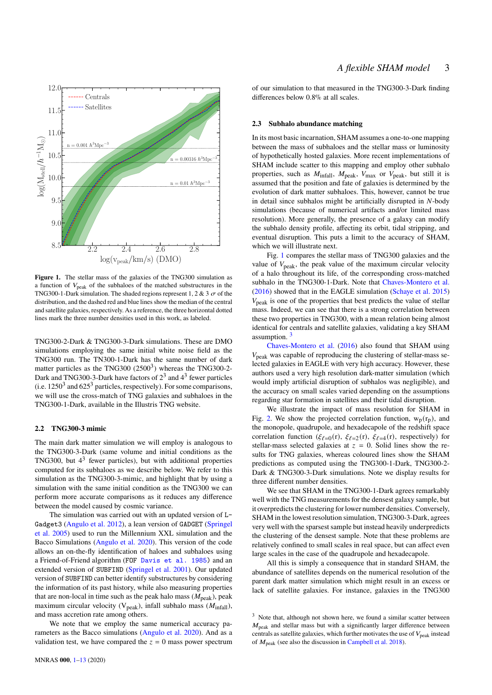

**Figure 1.** The stellar mass of the galaxies of the TNG300 simulation as a function of  $V_{\text{peak}}$  of the subhaloes of the matched substructures in the TNG300-1-Dark simulation. The shaded regions represent 1, 2 & 3  $\sigma$  of the distribution, and the dashed red and blue lines show the median of the central and satellite galaxies, respectively. As a reference, the three horizontal dotted lines mark the three number densities used in this work, as labeled.

TNG300-2-Dark & TNG300-3-Dark simulations. These are DMO simulations employing the same initial white noise field as the TNG300 run. The TN300-1-Dark has the same number of dark matter particles as the TNG300  $(2500^3)$  whereas the TNG300-2-Dark and TNG300-3-Dark have factors of  $2^3$  and  $4^3$  fewer particles (i.e.  $1250<sup>3</sup>$  and  $625<sup>3</sup>$  particles, respectively). For some comparisons, we will use the cross-match of TNG galaxies and subhaloes in the TNG300-1-Dark, available in the Illustris TNG website.

## **2.2 TNG300-3 mimic**

The main dark matter simulation we will employ is analogous to the TNG300-3-Dark (same volume and initial conditions as the TNG300, but  $4<sup>3</sup>$  fewer particles), but with additional properties computed for its subhaloes as we describe below. We refer to this simulation as the TNG300-3-mimic, and highlight that by using a simulation with the same initial condition as the TNG300 we can perform more accurate comparisons as it reduces any difference between the model caused by cosmic variance.

The simulation was carried out with an updated version of L-Gadget3 [\(Angulo et al.](#page-11-1) [2012\)](#page-11-1), a lean version of GADGET [\(Springel](#page-12-24) [et al.](#page-12-24) [2005\)](#page-12-24) used to run the Millennium XXL simulation and the Bacco Simulations [\(Angulo et al.](#page-11-2) [2020\)](#page-11-2). This version of the code allows an on-the-fly identification of haloes and subhaloes using a Friend-of-Friend algorithm (FOF [Davis et al.](#page-12-25) [1985\)](#page-12-25) and an extended version of SUBFIND [\(Springel et al.](#page-12-26) [2001\)](#page-12-26). Our updated version of SUBFIND can better identify substructures by considering the information of its past history, while also measuring properties that are non-local in time such as the peak halo mass  $(M_{peak})$ , peak maximum circular velocity ( $V_{peak}$ ), infall subhalo mass ( $M_{infall}$ ), and mass accretion rate among others.

We note that we employ the same numerical accuracy parameters as the Bacco simulations [\(Angulo et al.](#page-11-2) [2020\)](#page-11-2). And as a validation test, we have compared the  $z = 0$  mass power spectrum of our simulation to that measured in the TNG300-3-Dark finding differences below 0.8% at all scales.

#### **2.3 Subhalo abundance matching**

In its most basic incarnation, SHAM assumes a one-to-one mapping between the mass of subhaloes and the stellar mass or luminosity of hypothetically hosted galaxies. More recent implementations of SHAM include scatter to this mapping and employ other subhalo properties, such as  $M_{\text{infall}}$ ,  $M_{\text{peak}}$ ,  $V_{\text{max}}$  or  $V_{\text{peak}}$ , but still it is assumed that the position and fate of galaxies is determined by the evolution of dark matter subhaloes. This, however, cannot be true in detail since subhalos might be artificially disrupted in  $N$ -body simulations (because of numerical artifacts and/or limited mass resolution). More generally, the presence of a galaxy can modify the subhalo density profile, affecting its orbit, tidal stripping, and eventual disruption. This puts a limit to the accuracy of SHAM, which we will illustrate next.

<span id="page-2-0"></span>Fig. [1](#page-2-0) compares the stellar mass of TNG300 galaxies and the value of  $V_{\text{peak}}$ , the peak value of the maximum circular velocity of a halo throughout its life, of the corresponding cross-matched subhalo in the TNG300-1-Dark. Note that [Chaves-Montero et al.](#page-12-13) [\(2016\)](#page-12-13) showed that in the EAGLE simulation [\(Schaye et al.](#page-12-1) [2015\)](#page-12-1)  $V_{\text{peak}}$  is one of the properties that best predicts the value of stellar mass. Indeed, we can see that there is a strong correlation between these two properties in TNG300, with a mean relation being almost identical for centrals and satellite galaxies, validating a key SHAM assumption. [3](#page-2-1)

[Chaves-Montero et al.](#page-12-13) [\(2016\)](#page-12-13) also found that SHAM using  $V_{\text{peak}}$  was capable of reproducing the clustering of stellar-mass selected galaxies in EAGLE with very high accuracy. However, these authors used a very high resolution dark-matter simulation (which would imply artificial disruption of subhalos was negligible), and the accuracy on small scales varied depending on the assumptions regarding star formation in satellites and their tidal disruption.

We illustrate the impact of mass resolution for SHAM in Fig. [2.](#page-3-1) We show the projected correlation function,  $w_p(r_p)$ , and the monopole, quadrupole, and hexadecapole of the redshift space correlation function ( $\xi_{\ell=0}(\mathbf{r})$ ,  $\xi_{\ell=2}(\mathbf{r})$ ,  $\xi_{\ell=4}(\mathbf{r})$ , respectively) for stellar-mass selected galaxies at  $z = 0$ . Solid lines show the results for TNG galaxies, whereas coloured lines show the SHAM predictions as computed using the TNG300-1-Dark, TNG300-2- Dark & TNG300-3-Dark simulations. Note we display results for three different number densities.

We see that SHAM in the TNG300-1-Dark agrees remarkably well with the TNG measurements for the densest galaxy sample, but it overpredicts the clustering for lower number densities. Conversely, SHAM in the lowest resolution simulation, TNG300-3-Dark, agrees very well with the sparsest sample but instead heavily underpredicts the clustering of the densest sample. Note that these problems are relatively confined to small scales in real space, but can affect even large scales in the case of the quadrupole and hexadecapole.

All this is simply a consequence that in standard SHAM, the abundance of satellites depends on the numerical resolution of the parent dark matter simulation which might result in an excess or lack of satellite galaxies. For instance, galaxies in the TNG300

<span id="page-2-1"></span><sup>&</sup>lt;sup>3</sup> Note that, although not shown here, we found a similar scatter between  $M_{\text{peak}}$  and stellar mass but with a significantly larger difference between centrals as satellite galaxies, which further motivates the use of  $V_{\text{peak}}$  instead of  $M_{\text{peak}}$  (see also the discussion in [Campbell et al.](#page-12-27) [2018\)](#page-12-27).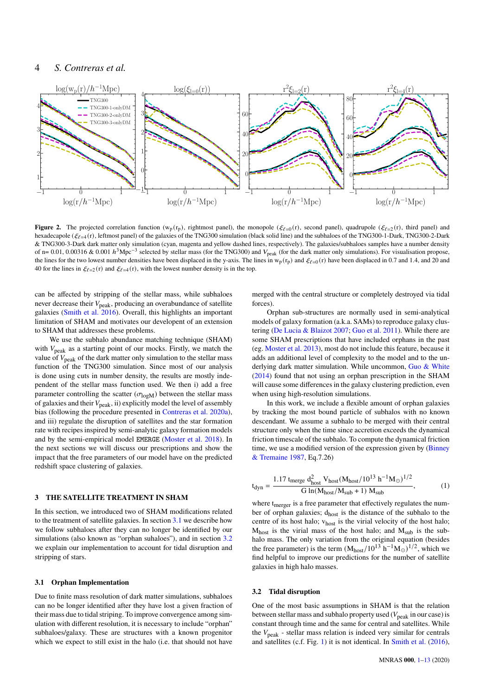## 4 *S. Contreras et al.*



**Figure 2.** The projected correlation function (w<sub>p</sub>(r<sub>p</sub>), rightmost panel), the monopole ( $\xi_{\ell=0}$ (r), second panel), quadrupole ( $\xi_{\ell=2}$ (r), third panel) and hexadecapole ( $\zeta_{\ell=4}$  (r), leftmost panel) of the galaxies of the TNG300 simulation (black solid line) and the subhaloes of the TNG300-1-Dark, TNG300-2-Dark & TNG300-3-Dark dark matter only simulation (cyan, magenta and yellow dashed lines, respectively). The galaxies/subhaloes samples have a number density of n= 0.01, 0.00316 & 0.001  $h^3$ Mpc<sup>-3</sup> selected by stellar mass (for the TNG300) and  $V_{peak}$  (for the dark matter only simulations). For visualisation propose, the lines for the two lowest number densities have been displaced in the y-axis. The lines in  $w_p(r_p)$  and  $\xi_{e=0}(r)$  have been displaced in 0.7 and 1.4, and 20 and 40 for the lines in  $\xi_{\ell=2}(\mathbf{r})$  and  $\xi_{\ell=4}(\mathbf{r})$ , with the lowest number density is in the top.

can be affected by stripping of the stellar mass, while subhaloes never decrease their  $V_{\text{peak}}$ , producing an overabundance of satellite galaxies [\(Smith et al.](#page-12-28) [2016\)](#page-12-28). Overall, this highlights an important limitation of SHAM and motivates our developent of an extension to SHAM that addresses these problems.

We use the subhalo abundance matching technique (SHAM) with  $V_{\text{peak}}$  as a starting point of our mocks. Firstly, we match the value of  $V_{\text{peak}}$  of the dark matter only simulation to the stellar mass function of the TNG300 simulation. Since most of our analysis is done using cuts in number density, the results are mostly independent of the stellar mass function used. We then i) add a free parameter controlling the scatter ( $\sigma_{\text{log}M}$ ) between the stellar mass of galaxies and their  $V_{\text{peak}}$ , ii) explicitly model the level of assembly bias (following the procedure presented in [Contreras et al.](#page-12-29) [2020a\)](#page-12-29), and iii) regulate the disruption of satellites and the star formation rate with recipes inspired by semi-analytic galaxy formation models and by the semi-empirical model EMERGE [\(Moster et al.](#page-12-10) [2018\)](#page-12-10). In the next sections we will discuss our prescriptions and show the impact that the free parameters of our model have on the predicted redshift space clustering of galaxies.

## <span id="page-3-0"></span>**3 THE SATELLITE TREATMENT IN SHAM**

In this section, we introduced two of SHAM modifications related to the treatment of satellite galaxies. In section [3.1](#page-3-2) we describe how we follow subhaloes after they can no longer be identified by our simulations (also known as "orphan suhaloes"), and in section [3.2](#page-3-3) we explain our implementation to account for tidal disruption and stripping of stars.

## <span id="page-3-2"></span>**3.1 Orphan Implementation**

Due to finite mass resolution of dark matter simulations, subhaloes can no be longer identified after they have lost a given fraction of their mass due to tidal striping. To improve convergence among simulation with different resolution, it is necessary to include "orphan" subhaloes/galaxy. These are structures with a known progenitor which we expect to still exist in the halo (i.e. that should not have

<span id="page-3-1"></span>merged with the central structure or completely destroyed via tidal forces).

Orphan sub-structures are normally used in semi-analytical models of galaxy formation (a.k.a. SAMs) to reproduce galaxy clustering [\(De Lucia & Blaizot](#page-12-30) [2007;](#page-12-30) [Guo et al.](#page-12-31) [2011\)](#page-12-31). While there are some SHAM prescriptions that have included orphans in the past (eg. [Moster et al.](#page-12-32) [2013\)](#page-12-32), most do not include this feature, because it adds an additional level of complexity to the model and to the un-derlying dark matter simulation. While uncommon, [Guo & White](#page-12-33) [\(2014\)](#page-12-33) found that not using an orphan prescription in the SHAM will cause some differences in the galaxy clustering prediction, even when using high-resolution simulations.

In this work, we include a flexible amount of orphan galaxies by tracking the most bound particle of subhalos with no known descendant. We assume a subhalo to be merged with their central structure only when the time since accretion exceeds the dynamical friction timescale of the subhalo. To compute the dynamical friction time, we use a modified version of the expression given by [\(Binney](#page-11-3) [& Tremaine](#page-11-3) [1987,](#page-11-3) Eq.7.26)

$$
t_{dyn} = \frac{1.17 \text{ therge d}^2_{host} V_{host}(M_{host}/10^{13} \text{ h}^{-1} M_{\odot})^{1/2}}{G \ln(M_{host}/M_{sub} + 1) M_{sub}},\tag{1}
$$

where t<sub>merger</sub> is a free parameter that effectively regulates the number of orphan galaxies; dhost is the distance of the subhalo to the centre of its host halo; v<sub>host</sub> is the virial velocity of the host halo;  $M<sub>host</sub>$  is the virial mass of the host halo; and  $M<sub>sub</sub>$  is the subhalo mass. The only variation from the original equation (besides the free parameter) is the term  $(M_{host}/10^{13} h^{-1} M_{\odot})^{1/2}$ , which we find helpful to improve our predictions for the number of satellite galaxies in high halo masses.

## <span id="page-3-3"></span>**3.2 Tidal disruption**

One of the most basic assumptions in SHAM is that the relation between stellar mass and subhalo property used ( $V_{\text{peak}}$  in our case) is constant through time and the same for central and satellites. While the  $V_{\text{peak}}$  - stellar mass relation is indeed very similar for centrals and satellites (c.f. Fig. [1\)](#page-2-0) it is not identical. In [Smith et al.](#page-12-28) [\(2016\)](#page-12-28),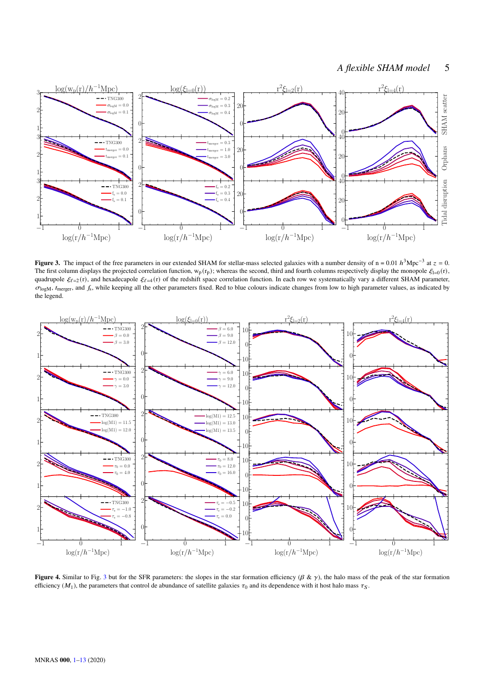## <span id="page-4-0"></span>*A flexible SHAM model* 5



**Figure 3.** The impact of the free parameters in our extended SHAM for stellar-mass selected galaxies with a number density of n = 0.01  $h^3$ Mpc<sup>-3</sup> at  $z = 0$ . The first column displays the projected correlation function,  $w_p(r_p)$ ; whereas the second, third and fourth columns respectively display the monopole  $\xi_{=0}(r)$ , quadrupole  $\xi_{\ell=2}(r)$ , and hexadecapole  $\xi_{\ell=4}(r)$  of the redshift space correlation function. In each row we systematically vary a different SHAM parameter,  $\sigma_{\text{logM}}$ ,  $t_{\text{merger}}$ , and  $f_s$ , while keeping all the other parameters fixed. Red to blue colours indicate changes from low to high parameter values, as indicated by the legend.



<span id="page-4-1"></span>**Figure 4.** Similar to Fig. [3](#page-4-0) but for the SFR parameters: the slopes in the star formation efficiency ( $\beta \& \gamma$ ), the halo mass of the peak of the star formation efficiency ( $M_1$ ), the parameters that control de abundance of satellite galaxies  $\tau_0$  and its dependence with it host halo mass  $\tau_S$ .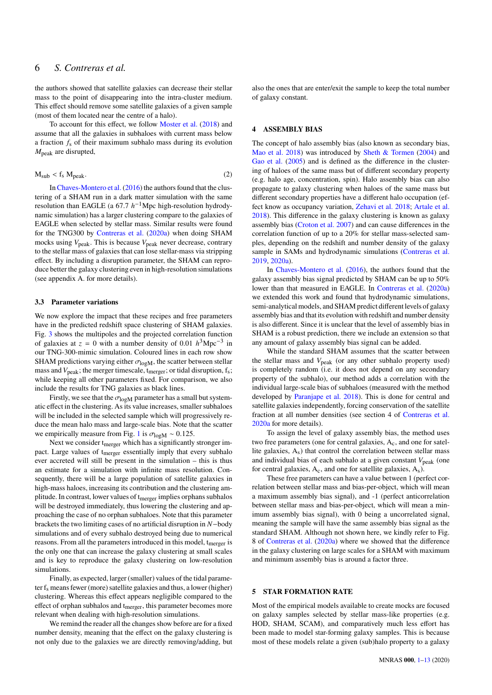the authors showed that satellite galaxies can decrease their stellar mass to the point of disappearing into the intra-cluster medium. This effect should remove some satellite galaxies of a given sample (most of them located near the centre of a halo).

To account for this effect, we follow [Moster et al.](#page-12-10) [\(2018\)](#page-12-10) and assume that all the galaxies in subhaloes with current mass below a fraction  $f_s$  of their maximum subhalo mass during its evolution  $M_{\text{peak}}$  are disrupted,

$$
M_{sub} < f_s M_{peak}.\tag{2}
$$

In [Chaves-Montero et al.](#page-12-13) [\(2016\)](#page-12-13) the authors found that the clustering of a SHAM run in a dark matter simulation with the same resolution than EAGLE (a  $67.7 h^{-1}$ Mpc high-resolution hydrodynamic simulation) has a larger clustering compare to the galaxies of EAGLE when selected by stellar mass. Similar results were found for the TNG300 by [Contreras et al.](#page-12-29) [\(2020a\)](#page-12-29) when doing SHAM mocks using  $V_{\text{peak}}$ . This is because  $V_{\text{peak}}$  never decrease, contrary to the stellar mass of galaxies that can lose stellar-mass via stripping effect. By including a disruption parameter, the SHAM can reproduce better the galaxy clustering even in high-resolution simulations (see appendix A. for more details).

#### **3.3 Parameter variations**

We now explore the impact that these recipes and free parameters have in the predicted redshift space clustering of SHAM galaxies. Fig. [3](#page-4-0) shows the multipoles and the projected correlation function of galaxies at  $z = 0$  with a number density of 0.01  $h^3$ Mpc<sup>-3</sup> in our TNG-300-mimic simulation. Coloured lines in each row show SHAM predictions varying either  $\sigma_{\text{logM}}$ , the scatter between stellar mass and  $V_{\rm peak}$ ; the merger timescale,  $t_{\rm merger}$ ; or tidal disruption,  $f_s$ ; while keeping all other parameters fixed. For comparison, we also include the results for TNG galaxies as black lines.

Firstly, we see that the  $\sigma_{\text{log}M}$  parameter has a small but systematic effect in the clustering. As its value increases, smaller subhaloes will be included in the selected sample which will progressively reduce the mean halo mass and large-scale bias. Note that the scatter we empirically measure from Fig. [1](#page-2-0) is  $\sigma_{\text{log}M} \sim 0.125$ .

Next we consider t<sub>merger</sub> which has a significantly stronger impact. Large values of tmerger essentially imply that every subhalo ever accreted will still be present in the simulation – this is thus an estimate for a simulation with infinite mass resolution. Consequently, there will be a large population of satellite galaxies in high-mass haloes, increasing its contribution and the clustering amplitude. In contrast, lower values of t<sub>merger</sub> implies orphans subhalos will be destroyed immediately, thus lowering the clustering and approaching the case of no orphan subhaloes. Note that this parameter brackets the two limiting cases of no artificial disruption in  $N$  –body simulations and of every subhalo destroyed being due to numerical reasons. From all the parameters introduced in this model, t<sub>merger</sub> is the only one that can increase the galaxy clustering at small scales and is key to reproduce the galaxy clustering on low-resolution simulations.

Finally, as expected, larger (smaller) values of the tidal parameter  $f_s$  means fewer (more) satellite galaxies and thus, a lower (higher) clustering. Whereas this effect appears negligible compared to the effect of orphan subhalos and t<sub>merger</sub>, this parameter becomes more relevant when dealing with high-resolution simulations.

We remind the reader all the changes show before are for a fixed number density, meaning that the effect on the galaxy clustering is not only due to the galaxies we are directly removing/adding, but

also the ones that are enter/exit the sample to keep the total number of galaxy constant.

## <span id="page-5-0"></span>**4 ASSEMBLY BIAS**

The concept of halo assembly bias (also known as secondary bias, [Mao et al.](#page-12-34) [2018\)](#page-12-34) was introduced by [Sheth & Tormen](#page-12-35) [\(2004\)](#page-12-35) and [Gao et al.](#page-12-36) [\(2005\)](#page-12-36) and is defined as the difference in the clustering of haloes of the same mass but of different secondary property (e.g. halo age, concentration, spin). Halo assembly bias can also propagate to galaxy clustering when haloes of the same mass but different secondary properties have a different halo occupation (effect know as occupancy variation, [Zehavi et al.](#page-12-37) [2018;](#page-12-37) [Artale et al.](#page-11-4) [2018\)](#page-11-4). This difference in the galaxy clustering is known as galaxy assembly bias [\(Croton et al.](#page-12-38) [2007\)](#page-12-38) and can cause differences in the correlation function of up to a 20% for stellar mass-selected samples, depending on the redshift and number density of the galaxy sample in SAMs and hydrodynamic simulations [\(Contreras et al.](#page-12-39) [2019,](#page-12-39) [2020a\)](#page-12-29).

In [Chaves-Montero et al.](#page-12-13) [\(2016\)](#page-12-13), the authors found that the galaxy assembly bias signal predicted by SHAM can be up to 50% lower than that measured in EAGLE. In [Contreras et al.](#page-12-29) [\(2020a\)](#page-12-29) we extended this work and found that hydrodynamic simulations, semi-analytical models, and SHAM predict different levels of galaxy assembly bias and that its evolution with redshift and number density is also different. Since it is unclear that the level of assembly bias in SHAM is a robust prediction, there we include an extension so that any amount of galaxy assembly bias signal can be added.

While the standard SHAM assumes that the scatter between the stellar mass and  $V_{\text{peak}}$  (or any other subhalo property used) is completely random (i.e. it does not depend on any secondary property of the subhalo), our method adds a correlation with the individual large-scale bias of subhaloes (measured with the method developed by [Paranjape et al.](#page-12-40) [2018\)](#page-12-40). This is done for central and satellite galaxies independently, forcing conservation of the satellite fraction at all number densities (see section 4 of [Contreras et al.](#page-12-29) [2020a](#page-12-29) for more details).

To assign the level of galaxy assembly bias, the method uses two free parameters (one for central galaxies,  $A_c$ , and one for satellite galaxies,  $A_s$ ) that control the correlation between stellar mass and individual bias of each subhalo at a given constant  $V_{\text{peak}}$  (one for central galaxies,  $A_c$ , and one for satellite galaxies,  $A_s$ ).

These free parameters can have a value between 1 (perfect correlation between stellar mass and bias-per-object, which will mean a maximum assembly bias signal), and -1 (perfect anticorrelation between stellar mass and bias-per-object, which will mean a minimum assembly bias signal), with 0 being a uncorrelated signal, meaning the sample will have the same assembly bias signal as the standard SHAM. Although not shown here, we kindly refer to Fig. 8 of [Contreras et al.](#page-12-29) [\(2020a\)](#page-12-29) where we showed that the difference in the galaxy clustering on large scales for a SHAM with maximum and minimum assembly bias is around a factor three.

## <span id="page-5-1"></span>**5 STAR FORMATION RATE**

Most of the empirical models available to create mocks are focused on galaxy samples selected by stellar mass-like properties (e.g. HOD, SHAM, SCAM), and comparatively much less effort has been made to model star-forming galaxy samples. This is because most of these models relate a given (sub)halo property to a galaxy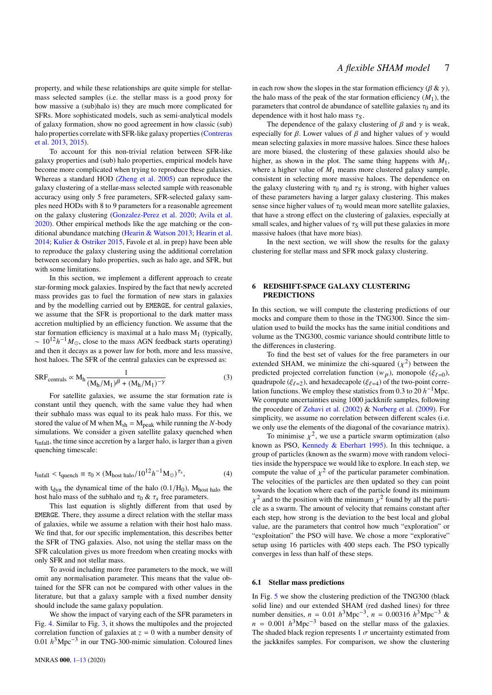property, and while these relationships are quite simple for stellarmass selected samples (i.e. the stellar mass is a good proxy for how massive a (sub)halo is) they are much more complicated for SFRs. More sophisticated models, such as semi-analytical models of galaxy formation, show no good agreement in how classic (sub) halo properties correlate with SFR-like galaxy properties [\(Contreras](#page-12-17) [et al.](#page-12-17) [2013,](#page-12-17) [2015\)](#page-12-41).

To account for this non-trivial relation between SFR-like galaxy properties and (sub) halo properties, empirical models have become more complicated when trying to reproduce these galaxies. Whereas a standard HOD [\(Zheng et al.](#page-12-42) [2005\)](#page-12-42) can reproduce the galaxy clustering of a stellar-mass selected sample with reasonable accuracy using only 5 free parameters, SFR-selected galaxy samples need HODs with 8 to 9 parameters for a reasonable agreement on the galaxy clustering [\(Gonzalez-Perez et al.](#page-12-43) [2020;](#page-12-43) [Avila et al.](#page-11-5) [2020\)](#page-11-5). Other empirical methods like the age matching or the conditional abundance matching [\(Hearin & Watson](#page-12-44) [2013;](#page-12-44) [Hearin et al.](#page-12-45) [2014;](#page-12-45) [Kulier & Ostriker](#page-12-46) [2015,](#page-12-46) Favole et al. in prep) have been able to reproduce the galaxy clustering using the additional correlation between secondary halo properties, such as halo age, and SFR, but with some limitations.

In this section, we implement a different approach to create star-forming mock galaxies. Inspired by the fact that newly accreted mass provides gas to fuel the formation of new stars in galaxies and by the modelling carried out by EMERGE, for central galaxies, we assume that the SFR is proportional to the dark matter mass accretion multiplied by an efficiency function. We assume that the star formation efficiency is maximal at a halo mass  $M_1$  (typically,  $\sim 10^{12} h^{-1} M_{\odot}$ , close to the mass AGN feedback starts operating) and then it decays as a power law for both, more and less massive, host haloes. The SFR of the central galaxies can be expressed as:

$$
SRF_{centrals} \propto M_h \frac{1}{(M_h/M_1)^{\beta} + (M_h/M_1)^{-\gamma}}
$$
 (3)

For satellite galaxies, we assume the star formation rate is constant until they quench, with the same value they had when their subhalo mass was equal to its peak halo mass. For this, we stored the value of M when  $M_{sh} = M_{peak}$  while running the N-body simulations. We consider a given satellite galaxy quenched when tinfall, the time since accretion by a larger halo, is larger than a given quenching timescale:

$$
t_{\text{infall}} < t_{\text{quench}} \equiv \tau_0 \times (M_{\text{host halo}} / 10^{12} h^{-1} M_{\odot})^{\tau_s},\tag{4}
$$

with  $t_{\text{dyn}}$  the dynamical time of the halo (0.1/H<sub>0</sub>), M<sub>host halo</sub> the host halo mass of the subhalo and  $\tau_0 \& \tau_s$  free parameters.

This last equation is slightly different from that used by EMERGE. There, they assume a direct relation with the stellar mass of galaxies, while we assume a relation with their host halo mass. We find that, for our specific implementation, this describes better the SFR of TNG galaxies. Also, not using the stellar mass on the SFR calculation gives us more freedom when creating mocks with only SFR and not stellar mass.

To avoid including more free parameters to the mock, we will omit any normalisation parameter. This means that the value obtained for the SFR can not be compared with other values in the literature, but that a galaxy sample with a fixed number density should include the same galaxy population.

We show the impact of varying each of the SFR parameters in Fig. [4.](#page-4-1) Similar to Fig. [3,](#page-4-0) it shows the multipoles and the projected correlation function of galaxies at  $z = 0$  with a number density of 0.01  $h^3$ Mpc<sup>-3</sup> in our TNG-300-mimic simulation. Coloured lines

in each row show the slopes in the star formation efficiency ( $\beta \& \gamma$ ), the halo mass of the peak of the star formation efficiency  $(M_1)$ , the parameters that control de abundance of satellite galaxies  $\tau_0$  and its dependence with it host halo mass  $\tau_s$ .

The dependence of the galaxy clustering of  $\beta$  and  $\gamma$  is weak, especially for  $\beta$ . Lower values of  $\beta$  and higher values of  $\gamma$  would mean selecting galaxies in more massive haloes. Since these haloes are more biased, the clustering of these galaxies should also be higher, as shown in the plot. The same thing happens with  $M_1$ , where a higher value of  $M_1$  means more clustered galaxy sample, consistent in selecting more massive haloes. The dependence on the galaxy clustering with  $\tau_0$  and  $\tau_s$  is strong, with higher values of these parameters having a larger galaxy clustering. This makes sense since higher values of  $\tau_0$  would mean more satellite galaxies, that have a strong effect on the clustering of galaxies, especially at small scales, and higher values of  $\tau_s$  will put these galaxies in more massive haloes (that have more bias).

In the next section, we will show the results for the galaxy clustering for stellar mass and SFR mock galaxy clustering.

## <span id="page-6-0"></span>**6 REDSHIFT-SPACE GALAXY CLUSTERING PREDICTIONS**

In this section, we will compute the clustering predictions of our mocks and compare them to those in the TNG300. Since the simulation used to build the mocks has the same initial conditions and volume as the TNG300, cosmic variance should contribute little to the differences in clustering.

To find the best set of values for the free parameters in our extended SHAM, we minimize the chi-squared  $(\chi^2)$  between the predicted projected correlation function  $(w_p)$ , monopole ( $\xi_{\ell=0}$ ), quadrupole ( $\xi_{\ell=2}$ ), and hexadecapole ( $\xi_{\ell=4}$ ) of the two-point correlation functions. We employ these statistics from 0.3 to 20  $h^{-1}$ Mpc. We compute uncertainties using 1000 jackknife samples, following the procedure of [Zehavi et al.](#page-12-47) [\(2002\)](#page-12-47) & [Norberg et al.](#page-12-48) [\(2009\)](#page-12-48). For simplicity, we assume no correlation between different scales (i.e. we only use the elements of the diagonal of the covariance matrix).

To minimise  $\chi^2$ , we use a particle swarm optimization (also known as PSO, [Kennedy & Eberhart](#page-12-49) [1995\)](#page-12-49). In this technique, a group of particles (known as the swarm) move with random velocities inside the hyperspace we would like to explore. In each step, we compute the value of  $\chi^2$  of the particular parameter combination. The velocities of the particles are then updated so they can point towards the location where each of the particle found its minimum  $\chi^2$  and to the position with the minimum  $\chi^2$  found by all the particle as a swarm. The amount of velocity that remains constant after each step, how strong is the deviation to the best local and global value, are the parameters that control how much "exploration" or "exploitation" the PSO will have. We chose a more "explorative" setup using 16 particles with 400 steps each. The PSO typically converges in less than half of these steps.

#### **6.1 Stellar mass predictions**

In Fig. [5](#page-7-0) we show the clustering prediction of the TNG300 (black solid line) and our extended SHAM (red dashed lines) for three number densities,  $n = 0.01 h^3 \text{Mpc}^{-3}$ ,  $n = 0.00316 h^3 \text{Mpc}^{-3}$  &  $n = 0.001 h<sup>3</sup> \text{Mpc}^{-3}$  based on the stellar mass of the galaxies. The shaded black region represents  $1 \sigma$  uncertainty estimated from the jackknifes samples. For comparison, we show the clustering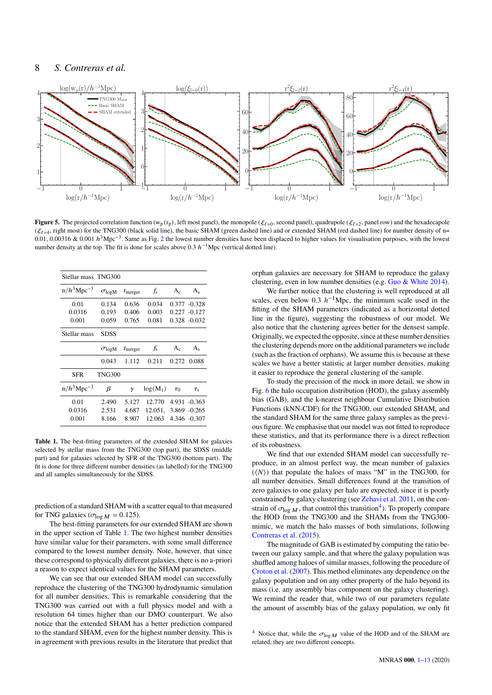## 8 *S. Contreras et al.*



**Figure 5.** The projected correlation function (w<sub>p</sub> (r<sub>p</sub>), left most panel), the monopole ( $\xi_{\ell=0}$ , second panel), quadrupole ( $\xi_{\ell=2}$ , panel row) and the hexadecapole  $(\xi_{\ell=4}, \text{right most})$  for the TNG300 (black solid line), the basic SHAM (green dashed line) and or extended SHAM (red dashed line) for number density of n= 0.01, 0.00316 & 0.001  $h^3$ Mpc<sup>-3</sup>. Same as Fig. [2](#page-3-1) the lowest number densities have been displaced to higher values for visualisation purposes, with the lowest number density at the top. The fit is done for scales above 0.3  $h^{-1}$ Mpc (vertical dotted line).

| Stellar mass TNG300       |                      |                     |             |          |                 |
|---------------------------|----------------------|---------------------|-------------|----------|-----------------|
| $n/h^3$ Mpc <sup>-3</sup> | $\sigma_{\rm log M}$ | $t_{\text{merger}}$ | $f_{\rm s}$ | $A_{c}$  | $A_s$           |
| 0.01                      | 0.134                | 0.636               | 0.034       |          | $0.377 - 0.328$ |
| 0.0316                    | 0.193                | 0.406               | 0.003       |          | $0.227 - 0.127$ |
| 0.001                     | 0.059                | 0.765               | 0.081       |          | $0.328 - 0.032$ |
| Stellar mass              | SDSS                 |                     |             |          |                 |
|                           | $\sigma_{\rm log M}$ | $t_{\text{merger}}$ | $f_{\rm s}$ | $A_c$    | $A_s$           |
|                           | 0.043                | 1.112               | 0.211       | 0.272    | 0.088           |
| <b>SFR</b>                | <b>TNG300</b>        |                     |             |          |                 |
| $n/h^3$ Mpc <sup>-3</sup> | β                    | $\gamma$            | $log(M_1)$  | $\tau_0$ | $\tau_{\rm s}$  |
| 0.01                      | 2.490                | 5.127               | 12.770      |          | 4.931 -0.363    |
| 0.0316                    | 2.531                | 4.687               | 12.051.     |          | $3.869 - 0.265$ |
| 0.001                     | 8.166                | 8.907               | 12.063      |          | 4.346 -0.307    |

<span id="page-7-1"></span>**Table 1.** The best-fitting parameters of the extended SHAM for galaxies selected by stellar mass from the TNG300 (top part), the SDSS (middle part) and for galaxies selected by SFR of the TNG300 (bottom part). The fit is done for three different number densities (as labelled) for the TNG300 and all samples simultaneously for the SDSS.

prediction of a standard SHAM with a scatter equal to that measured for TNG galaxies ( $\sigma_{\log M} = 0.125$ ).

The best-fitting parameters for our extended SHAM are shown in the upper section of Table [1.](#page-7-1) The two highest number densities have similar value for their parameters, with some small difference compared to the lowest number density. Note, however, that since these correspond to physically different galaxies, there is no a-priori a reason to expect identical values for the SHAM parameters.

We can see that our extended SHAM model can successfully reproduce the clustering of the TNG300 hydrodynamic simulation for all number densities. This is remarkable considering that the TNG300 was carried out with a full physics model and with a resolution 64 times higher than our DMO counterpart. We also notice that the extended SHAM has a better prediction compared to the standard SHAM, even for the highest number density. This is in agreement with previous results in the literature that predict that

<span id="page-7-0"></span>orphan galaxies are necessary for SHAM to reproduce the galaxy clustering, even in low number densities (e.g. [Guo & White](#page-12-33) [2014\)](#page-12-33).

We further notice that the clustering is well reproduced at all scales, even below 0.3  $h^{-1}$ Mpc, the minimum scale used in the fitting of the SHAM parameters (indicated as a horizontal dotted line in the figure), suggesting the robustness of our model. We also notice that the clustering agrees better for the densest sample. Originally, we expected the opposite, since at these number densities the clustering depends more on the additional parameters we include (such as the fraction of orphans). We assume this is because at these scales we have a better statistic at larger number densities, making it easier to reproduce the general clustering of the sample.

To study the precision of the mock in more detail, we show in Fig. [6](#page-9-0) the halo occupation distribution (HOD), the galaxy assembly bias (GAB), and the k-nearest neighbour Cumulative Distribution Functions (kNN-CDF) for the TNG300, our extended SHAM, and the standard SHAM for the same three galaxy samples as the previous figure. We emphasise that our model was not fitted to reproduce these statistics, and that its performance there is a direct reflection of its robustness.

We find that our extended SHAM model can successfully reproduce, in an almost perfect way, the mean number of galaxies  $({\langle N \rangle})$  that populate the haloes of mass "M" in the TNG300, for all number densities. Small differences found at the transition of zero galaxies to one galaxy per halo are expected, since it is poorly constrained by galaxy clustering (see [Zehavi et al.](#page-12-50) [2011,](#page-12-50) on the constrain of  $\sigma_{\log M}$ , that control this transition<sup>[4](#page-7-2)</sup>). To properly compare the HOD from the TNG300 and the SHAMs from the TNG300 mimic, we match the halo masses of both simulations, following [Contreras et al.](#page-12-41) [\(2015\)](#page-12-41).

The magnitude of GAB is estimated by computing the ratio between our galaxy sample, and that where the galaxy population was shuffled among haloes of similar masses, following the procedure of [Croton et al.](#page-12-38) [\(2007\)](#page-12-38). This method eliminates any dependence on the galaxy population and on any other property of the halo beyond its mass (i.e. any assembly bias component on the galaxy clustering). We remind the reader that, while two of our parameters regulate the amount of assembly bias of the galaxy population, we only fit

<span id="page-7-2"></span><sup>4</sup> Notice that, while the  $\sigma_{\log M}$  value of the HOD and of the SHAM are related, they are two different concepts.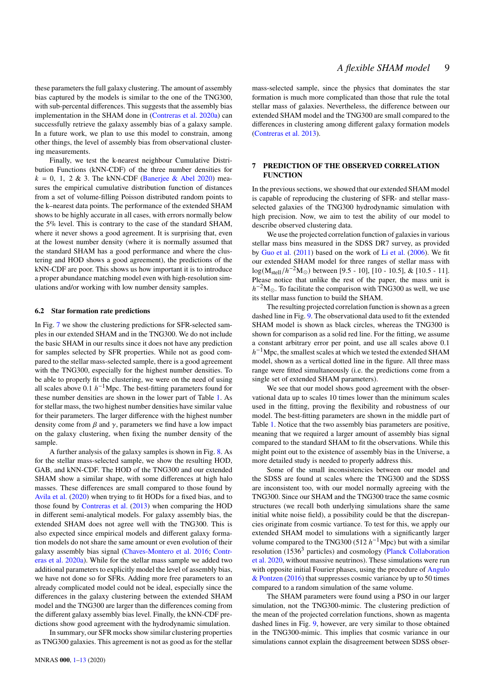these parameters the full galaxy clustering. The amount of assembly bias captured by the models is similar to the one of the TNG300, with sub-percental differences. This suggests that the assembly bias implementation in the SHAM done in [\(Contreras et al.](#page-12-29) [2020a\)](#page-12-29) can successfully retrieve the galaxy assembly bias of a galaxy sample. In a future work, we plan to use this model to constrain, among other things, the level of assembly bias from observational clustering measurements.

Finally, we test the k-nearest neighbour Cumulative Distribution Functions (kNN-CDF) of the three number densities for  $k = 0$ , 1, 2 & 3. The kNN-CDF [\(Banerjee & Abel](#page-11-6) [2020\)](#page-11-6) measures the empirical cumulative distribution function of distances from a set of volume-filling Poisson distributed random points to the k–nearest data points. The performance of the extended SHAM shows to be highly accurate in all cases, with errors normally below the 5% level. This is contrary to the case of the standard SHAM, where it never shows a good agreement. It is surprising that, even at the lowest number density (where it is normally assumed that the standard SHAM has a good performance and where the clustering and HOD shows a good agreement), the predictions of the kNN-CDF are poor. This shows us how important it is to introduce a proper abundance matching model even with high-resolution simulations and/or working with low number density samples.

#### **6.2 Star formation rate predictions**

In Fig. [7](#page-9-1) we show the clustering predictions for SFR-selected samples in our extended SHAM and in the TNG300. We do not include the basic SHAM in our results since it does not have any prediction for samples selected by SFR properties. While not as good compared to the stellar mass-selected sample, there is a good agreement with the TNG300, especially for the highest number densities. To be able to properly fit the clustering, we were on the need of using all scales above  $0.1 h^{-1}$ Mpc. The best-fitting parameters found for these number densities are shown in the lower part of Table [1.](#page-7-1) As for stellar mass, the two highest number densities have similar value for their parameters. The larger difference with the highest number density come from  $\beta$  and  $\gamma$ , parameters we find have a low impact on the galaxy clustering, when fixing the number density of the sample.

A further analysis of the galaxy samples is shown in Fig. [8.](#page-10-1) As for the stellar mass-selected sample, we show the resulting HOD, GAB, and kNN-CDF. The HOD of the TNG300 and our extended SHAM show a similar shape, with some differences at high halo masses. These differences are small compared to those found by [Avila et al.](#page-11-5) [\(2020\)](#page-11-5) when trying to fit HODs for a fixed bias, and to those found by [Contreras et al.](#page-12-17) [\(2013\)](#page-12-17) when comparing the HOD in different semi-analytical models. For galaxy assembly bias, the extended SHAM does not agree well with the TNG300. This is also expected since empirical models and different galaxy formation models do not share the same amount or even evolution of their galaxy assembly bias signal [\(Chaves-Montero et al.](#page-12-13) [2016;](#page-12-13) [Contr](#page-12-29)[eras et al.](#page-12-29) [2020a\)](#page-12-29). While for the stellar mass sample we added two additional parameters to explicitly model the level of assembly bias, we have not done so for SFRs. Adding more free parameters to an already complicated model could not be ideal, especially since the differences in the galaxy clustering between the extended SHAM model and the TNG300 are larger than the differences coming from the different galaxy assembly bias level. Finally, the kNN-CDF predictions show good agreement with the hydrodynamic simulation.

In summary, our SFR mocks show similar clustering properties as TNG300 galaxies. This agreement is not as good as for the stellar mass-selected sample, since the physics that dominates the star formation is much more complicated than those that rule the total stellar mass of galaxies. Nevertheless, the difference between our extended SHAM model and the TNG300 are small compared to the differences in clustering among different galaxy formation models [\(Contreras et al.](#page-12-17) [2013\)](#page-12-17).

## <span id="page-8-0"></span>**7 PREDICTION OF THE OBSERVED CORRELATION FUNCTION**

In the previous sections, we showed that our extended SHAM model is capable of reproducing the clustering of SFR- and stellar massselected galaxies of the TNG300 hydrodynamic simulation with high precision. Now, we aim to test the ability of our model to describe observed clustering data.

We use the projected correlation function of galaxies in various stellar mass bins measured in the SDSS DR7 survey, as provided by [Guo et al.](#page-12-31) [\(2011\)](#page-12-31) based on the work of [Li et al.](#page-12-51) [\(2006\)](#page-12-51). We fit our extended SHAM model for three ranges of stellar mass with  $log(M_{\text{stellar}}/h^{-2}M_{\odot})$  between [9.5 - 10], [10 - 10.5], & [10.5 - 11]. Please notice that unlike the rest of the paper, the mass unit is  $h^{-2}M_{\odot}$ . To facilitate the comparison with TNG300 as well, we use its stellar mass function to build the SHAM.

The resulting projected correlation function is shown as a green dashed line in Fig. [9.](#page-11-7) The observational data used to fit the extended SHAM model is shown as black circles, whereas the TNG300 is shown for comparison as a solid red line. For the fitting, we assume a constant arbitrary error per point, and use all scales above 0.1  $h^{-1}$ Mpc, the smallest scales at which we tested the extended SHAM model, shown as a vertical dotted line in the figure. All three mass range were fitted simultaneously (i.e. the predictions come from a single set of extended SHAM parameters).

We see that our model shows good agreement with the observational data up to scales 10 times lower than the minimum scales used in the fitting, proving the flexibility and robustness of our model. The best-fitting parameters are shown in the middle part of Table [1.](#page-7-1) Notice that the two assembly bias parameters are positive, meaning that we required a larger amount of assembly bias signal compared to the standard SHAM to fit the observations. While this might point out to the existence of assembly bias in the Universe, a more detailed study is needed to properly address this.

Some of the small inconsistencies between our model and the SDSS are found at scales where the TNG300 and the SDSS are inconsistent too, with our model normally agreeing with the TNG300. Since our SHAM and the TNG300 trace the same cosmic structures (we recall both underlying simulations share the same initial white noise field), a possibility could be that the discrepancies originate from cosmic vartiance. To test for this, we apply our extended SHAM model to simulations with a significantly larger volume compared to the TNG300 (512  $h^{-1}$ Mpc) but with a similar resolution (1536<sup>3</sup> particles) and cosmology [\(Planck Collaboration](#page-12-52) [et al.](#page-12-52) [2020,](#page-12-52) without massive neutrinos). These simulations were run with opposite initial Fourier phases, using the procedure of [Angulo](#page-11-8) [& Pontzen](#page-11-8) [\(2016\)](#page-11-8) that suppresses cosmic variance by up to 50 times compared to a random simulation of the same volume.

The SHAM parameters were found using a PSO in our larger simulation, not the TNG300-mimic. The clustering prediction of the mean of the projected correlation functions, shown as magenta dashed lines in Fig. [9,](#page-11-7) however, are very similar to those obtained in the TNG300-mimic. This implies that cosmic variance in our simulations cannot explain the disagreement between SDSS obser-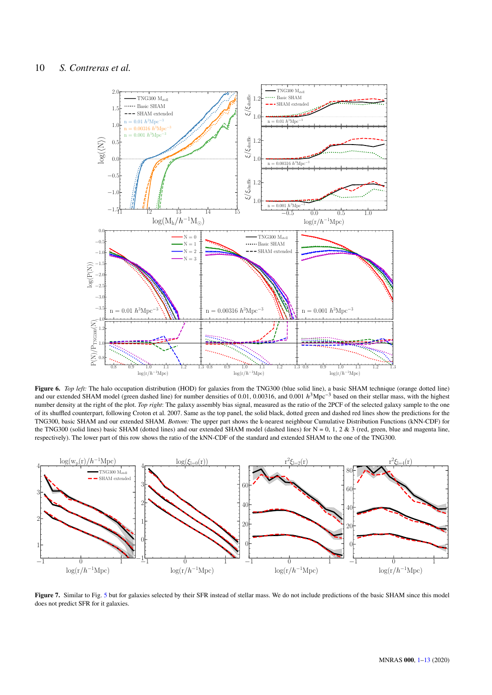

<span id="page-9-0"></span>**Figure 6.** *Top left:* The halo occupation distribution (HOD) for galaxies from the TNG300 (blue solid line), a basic SHAM technique (orange dotted line) and our extended SHAM model (green dashed line) for number densities of 0.01, 0.00316, and 0.001  $h^3$ Mpc<sup>-3</sup> based on their stellar mass, with the highest number density at the right of the plot. *Top right*: The galaxy assembly bias signal, measured as the ratio of the 2PCF of the selected galaxy sample to the one of its shuffled counterpart, following Croton et al. 2007. Same as the top panel, the solid black, dotted green and dashed red lines show the predictions for the TNG300, basic SHAM and our extended SHAM. *Bottom:* The upper part shows the k-nearest neighbour Cumulative Distribution Functions (kNN-CDF) for the TNG300 (solid lines) basic SHAM (dotted lines) and our extended SHAM model (dashed lines) for  $N = 0, 1, 2, 2, 3$  (red, green, blue and magenta line, respectively). The lower part of this row shows the ratio of the kNN-CDF of the standard and extended SHAM to the one of the TNG300.



<span id="page-9-1"></span>Figure 7. Similar to Fig. [5](#page-7-0) but for galaxies selected by their SFR instead of stellar mass. We do not include predictions of the basic SHAM since this model does not predict SFR for it galaxies.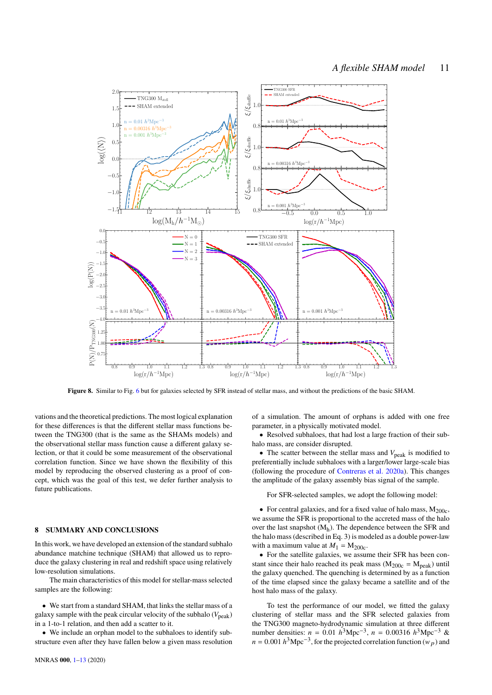

<span id="page-10-1"></span>**Figure 8.** Similar to Fig. [6](#page-9-0) but for galaxies selected by SFR instead of stellar mass, and without the predictions of the basic SHAM.

vations and the theoretical predictions. The most logical explanation for these differences is that the different stellar mass functions between the TNG300 (that is the same as the SHAMs models) and the observational stellar mass function cause a different galaxy selection, or that it could be some measurement of the observational correlation function. Since we have shown the flexibility of this model by reproducing the observed clustering as a proof of concept, which was the goal of this test, we defer further analysis to future publications.

## <span id="page-10-0"></span>**8 SUMMARY AND CONCLUSIONS**

In this work, we have developed an extension of the standard subhalo abundance matchine technique (SHAM) that allowed us to reproduce the galaxy clustering in real and redshift space using relatively low-resolution simulations.

The main characteristics of this model for stellar-mass selected samples are the following:

• We start from a standard SHAM, that links the stellar mass of a galaxy sample with the peak circular velocity of the subhalo  $(V_{peak})$ in a 1-to-1 relation, and then add a scatter to it.

• We include an orphan model to the subhaloes to identify substructure even after they have fallen below a given mass resolution of a simulation. The amount of orphans is added with one free parameter, in a physically motivated model.

• Resolved subhaloes, that had lost a large fraction of their subhalo mass, are consider disrupted.

• The scatter between the stellar mass and  $V_{\text{peak}}$  is modified to preferentially include subhaloes with a larger/lower large-scale bias (following the procedure of [Contreras et al.](#page-12-29) [2020a\)](#page-12-29). This changes the amplitude of the galaxy assembly bias signal of the sample.

For SFR-selected samples, we adopt the following model:

• For central galaxies, and for a fixed value of halo mass,  $M_{200c}$ , we assume the SFR is proportional to the accreted mass of the halo over the last snapshot (M<sup>h</sup> ). The dependence between the SFR and the halo mass (described in Eq. 3) is modeled as a double power-law with a maximum value at  $M_1 = M_{200c}$ .

• For the satellite galaxies, we assume their SFR has been constant since their halo reached its peak mass ( $M_{200c} = M_{peak}$ ) until the galaxy quenched. The quenching is determined by as a function of the time elapsed since the galaxy became a satellite and of the host halo mass of the galaxy.

To test the performance of our model, we fitted the galaxy clustering of stellar mass and the SFR selected galaxies from the TNG300 magneto-hydrodynamic simulation at three different number densities:  $n = 0.01 h^3 \text{Mpc}^{-3}$ ,  $n = 0.00316 h^3 \text{Mpc}^{-3}$  &  $n = 0.001 h<sup>3</sup> Mpc<sup>-3</sup>$ , for the projected correlation function  $(w_p)$  and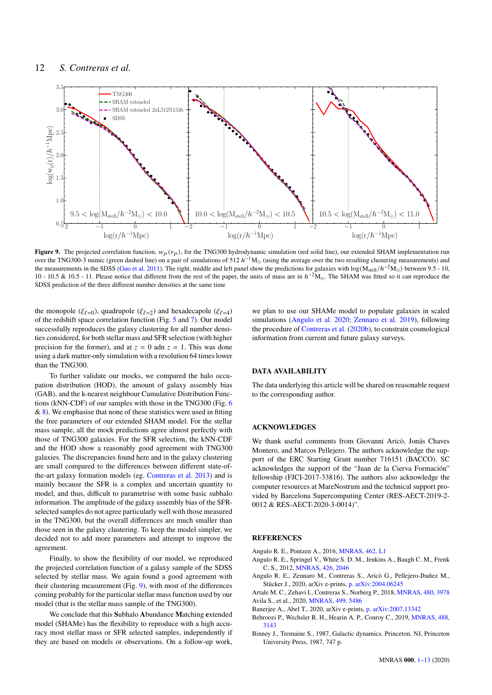

**Figure 9.** The projected correlation function,  $w_p(r_p)$ , for the TNG300 hydrodynamic simulation (red solid line), our extended SHAM implementation run over the TNG300-3 mimic (green dashed line) on a pair of simulations of 512  $h^{-1}M_{\odot}$  (using the average over the two resulting clustering measurements) and the measurements in the SDSS [\(Guo et al.](#page-12-31) [2011\)](#page-12-31). The right, middle and left panel show the predictions for galaxies with  $\log(M_{\text{stellar}}/h^{-2}M_{\odot})$  between 9.5 - 10, 10 - 10.5 & 10.5 - 11. Please notice that different from the rest of the paper, the units of mass are in  $h^{-2}M_{\odot}$ . The SHAM was fitted so it can reproduce the SDSS prediction of the three different number densities at the same time

the monopole ( $\xi_{\ell=0}$ ), quadrupole ( $\xi_{\ell=2}$ ) and hexadecapole ( $\xi_{\ell=4}$ ) of the redshift space correlation function (Fig. [5](#page-7-0) and [7\)](#page-9-1). Our model successfully reproduces the galaxy clustering for all number densities considered, for both stellar mass and SFR selection (with higher precision for the former), and at  $z = 0$  adn  $z = 1$ . This was done using a dark matter-only simulation with a resolution 64 times lower than the TNG300.

To further validate our mocks, we compared the halo occupation distribution (HOD), the amount of galaxy assembly bias (GAB), and the k-nearest neighbour Cumulative Distribution Functions (kNN-CDF) of our samples with those in the TNG300 (Fig. [6](#page-9-0)  $\&$  [8\)](#page-10-1). We emphasise that none of these statistics were used in fitting the free parameters of our extended SHAM model. For the stellar mass sample, all the mock predictions agree almost perfectly with those of TNG300 galaxies. For the SFR selection, the kNN-CDF and the HOD show a reasonably good agreement with TNG300 galaxies. The discrepancies found here and in the galaxy clustering are small compared to the differences between different state-ofthe-art galaxy formation models (eg. [Contreras et al.](#page-12-17) [2013\)](#page-12-17) and is mainly because the SFR is a complex and uncertain quantity to model, and thus, difficult to parametrise with some basic subhalo information. The amplitude of the galaxy assembly bias of the SFRselected samples do not agree particularly well with those measured in the TNG300, but the overall differences are much smaller than those seen in the galaxy clustering. To keep the model simpler, we decided not to add more parameters and attempt to improve the agreement.

Finally, to show the flexibility of our model, we reproduced the projected correlation function of a galaxy sample of the SDSS selected by stellar mass. We again found a good agreement with their clustering measurement (Fig. [9\)](#page-11-7), with most of the differences coming probably for the particular stellar mass function used by our model (that is the stellar mass sample of the TNG300).

We conclude that this **S**ubhalo **A**bundance **M**atching **e**xtended model (SHAMe) has the flexibility to reproduce with a high accuracy most stellar mass or SFR selected samples, independently if they are based on models or observations. On a follow-up work, <span id="page-11-7"></span>we plan to use our SHAMe model to populate galaxies in scaled simulations [\(Angulo et al.](#page-11-2) [2020;](#page-11-2) [Zennaro et al.](#page-12-53) [2019\)](#page-12-53), following the procedure of [Contreras et al.](#page-12-54) [\(2020b\)](#page-12-54), to constrain cosmological information from current and future galaxy surveys.

## **DATA AVAILABILITY**

The data underlying this article will be shared on reasonable request to the corresponding author.

#### **ACKNOWLEDGES**

We thank useful comments from Giovanni Aricò, Jonás Chaves Montero, and Marcos Pellejero. The authors acknowledge the support of the ERC Starting Grant number 716151 (BACCO). SC acknowledges the support of the "Juan de la Cierva Formación" fellowship (FJCI-2017-33816). The authors also acknowledge the computer resources at MareNostrum and the technical support provided by Barcelona Supercomputing Center (RES-AECT-2019-2- 0012 & RES-AECT-2020-3-0014)".

## **REFERENCES**

- <span id="page-11-8"></span>Angulo R. E., Pontzen A., 2016, [MNRAS,](http://dx.doi.org/10.1093/mnrasl/slw098) [462, L1](https://ui.adsabs.harvard.edu/abs/2016MNRAS.462L...1A)
- <span id="page-11-1"></span>Angulo R. E., Springel V., White S. D. M., Jenkins A., Baugh C. M., Frenk C. S., 2012, [MNRAS,](http://dx.doi.org/10.1111/j.1365-2966.2012.21830.x) [426, 2046](http://adsabs.harvard.edu/abs/2012MNRAS.426.2046A)
- <span id="page-11-2"></span>Angulo R. E., Zennaro M., Contreras S., Aricò G., Pellejero-Ibañez M., Stücker J., 2020, arXiv e-prints, [p. arXiv:2004.06245](https://ui.adsabs.harvard.edu/abs/2020arXiv200406245A)
- <span id="page-11-5"></span><span id="page-11-4"></span>Artale M. C., Zehavi I., Contreras S., Norberg P., 2018, [MNRAS,](http://dx.doi.org/10.1093/mnras/sty2110) [480, 3978](https://ui.adsabs.harvard.edu/abs/2018MNRAS.480.3978A) Avila S., et al., 2020, [MNRAS,](http://dx.doi.org/10.1093/mnras/staa2951) [499, 5486](https://ui.adsabs.harvard.edu/abs/2020MNRAS.499.5486A)
- <span id="page-11-6"></span>Banerjee A., Abel T., 2020, arXiv e-prints, [p. arXiv:2007.13342](https://ui.adsabs.harvard.edu/abs/2020arXiv200713342B)
- <span id="page-11-0"></span>Behroozi P., Wechsler R. H., Hearin A. P., Conroy C., 2019, [MNRAS,](http://dx.doi.org/10.1093/mnras/stz1182) [488,](https://ui.adsabs.harvard.edu/abs/2019MNRAS.488.3143B) [3143](https://ui.adsabs.harvard.edu/abs/2019MNRAS.488.3143B)
- <span id="page-11-3"></span>Binney J., Tremaine S., 1987, Galactic dynamics. Princeton, NJ, Princeton University Press, 1987, 747 p.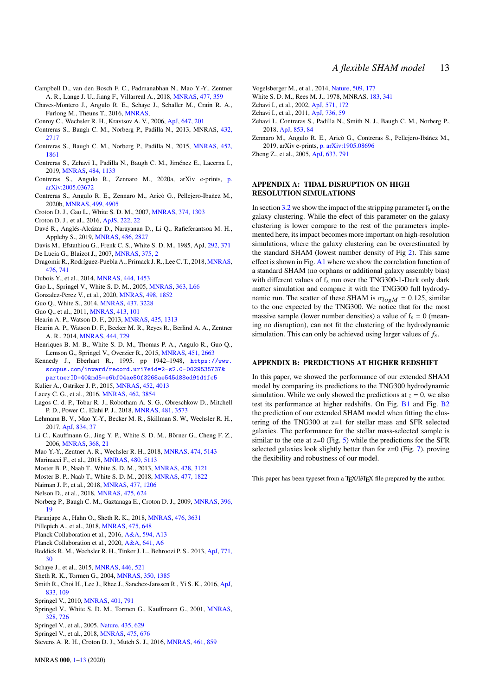- <span id="page-12-27"></span>Campbell D., van den Bosch F. C., Padmanabhan N., Mao Y.-Y., Zentner A. R., Lange J. U., Jiang F., Villarreal A., 2018, [MNRAS,](http://dx.doi.org/10.1093/mnras/sty495) [477, 359](https://ui.adsabs.harvard.edu/abs/2018MNRAS.477..359C)
- <span id="page-12-13"></span>Chaves-Montero J., Angulo R. E., Schaye J., Schaller M., Crain R. A., Furlong M., Theuns T., 2016, [MNRAS,](http://dx.doi.org/10.1093/mnras/stw1225)
- <span id="page-12-11"></span>Conroy C., Wechsler R. H., Kravtsov A. V., 2006, [ApJ,](http://dx.doi.org/10.1086/503602) [647, 201](http://adsabs.harvard.edu/abs/2006ApJ...647..201C)
- <span id="page-12-17"></span>Contreras S., Baugh C. M., Norberg P., Padilla N., 2013, MNRAS, [432,](http://adsabs.harvard.edu/abs/2013MNRAS.432.2717C) [2717](http://adsabs.harvard.edu/abs/2013MNRAS.432.2717C)
- <span id="page-12-41"></span>Contreras S., Baugh C. M., Norberg P., Padilla N., 2015, [MNRAS,](http://dx.doi.org/10.1093/mnras/stv1438) [452,](http://adsabs.harvard.edu/abs/2015MNRAS.452.1861C) [1861](http://adsabs.harvard.edu/abs/2015MNRAS.452.1861C)
- <span id="page-12-39"></span>Contreras S., Zehavi I., Padilla N., Baugh C. M., Jiménez E., Lacerna I., 2019, [MNRAS,](http://dx.doi.org/10.1093/mnras/stz018) [484, 1133](https://ui.adsabs.harvard.edu/abs/2019MNRAS.484.1133C)
- <span id="page-12-29"></span>Contreras S., Angulo R., Zennaro M., 2020a, arXiv e-prints, [p.](https://ui.adsabs.harvard.edu/abs/2020arXiv200503672C) [arXiv:2005.03672](https://ui.adsabs.harvard.edu/abs/2020arXiv200503672C)
- <span id="page-12-54"></span>Contreras S., Angulo R. E., Zennaro M., Aricò G., Pellejero-Ibañez M., 2020b, [MNRAS,](http://dx.doi.org/10.1093/mnras/staa3117) [499, 4905](https://ui.adsabs.harvard.edu/abs/2020MNRAS.499.4905C)
- <span id="page-12-38"></span>Croton D. J., Gao L., White S. D. M., 2007, [MNRAS,](http://dx.doi.org/10.1111/j.1365-2966.2006.11230.x) [374, 1303](http://adsabs.harvard.edu/abs/2007MNRAS.374.1303C)
- <span id="page-12-8"></span>Croton D. J., et al., 2016, [ApJS,](http://dx.doi.org/10.3847/0067-0049/222/2/22) [222, 22](http://adsabs.harvard.edu/abs/2016ApJS..222...22C)
- <span id="page-12-4"></span>Davé R., Anglés-Alcázar D., Narayanan D., Li Q., Rafieferantsoa M. H., Appleby S., 2019, [MNRAS,](http://dx.doi.org/10.1093/mnras/stz937) [486, 2827](https://ui.adsabs.harvard.edu/abs/2019MNRAS.486.2827D)

<span id="page-12-25"></span>Davis M., Efstathiou G., Frenk C. S., White S. D. M., 1985, ApJ, [292, 371](http://adsabs.harvard.edu/abs/1985ApJ...292..371D)

- <span id="page-12-30"></span>De Lucia G., Blaizot J., 2007, [MNRAS,](http://dx.doi.org/10.1111/j.1365-2966.2006.11287.x) [375, 2](http://adsabs.harvard.edu/abs/2007MNRAS.375....2D)
- <span id="page-12-15"></span>Dragomir R., Rodríguez-Puebla A., Primack J. R., Lee C. T., 2018, [MNRAS,](http://dx.doi.org/10.1093/mnras/sty283) [476, 741](https://ui.adsabs.harvard.edu/abs/2018MNRAS.476..741D)
- <span id="page-12-3"></span>Dubois Y., et al., 2014, [MNRAS,](http://dx.doi.org/10.1093/mnras/stu1227) [444, 1453](https://ui.adsabs.harvard.edu/abs/2014MNRAS.444.1453D)
- <span id="page-12-36"></span>Gao L., Springel V., White S. D. M., 2005, [MNRAS,](http://dx.doi.org/10.1111/j.1745-3933.2005.00084.x) [363, L66](http://adsabs.harvard.edu/abs/2005MNRAS.363L..66G)
- <span id="page-12-43"></span>Gonzalez-Perez V., et al., 2020, [MNRAS,](http://dx.doi.org/10.1093/mnras/staa2504) [498, 1852](https://ui.adsabs.harvard.edu/abs/2020MNRAS.498.1852G)
- <span id="page-12-33"></span>Guo Q., White S., 2014, [MNRAS,](http://dx.doi.org/10.1093/mnras/stt2116) [437, 3228](http://adsabs.harvard.edu/abs/2014MNRAS.437.3228G)
- <span id="page-12-31"></span>Guo Q., et al., 2011, [MNRAS,](http://dx.doi.org/10.1111/j.1365-2966.2010.18114.x) [413, 101](http://adsabs.harvard.edu/abs/2010arXiv1006.0106G)
- <span id="page-12-44"></span>Hearin A. P., Watson D. F., 2013, [MNRAS,](http://dx.doi.org/10.1093/mnras/stt1374) [435, 1313](https://ui.adsabs.harvard.edu/abs/2013MNRAS.435.1313H)
- <span id="page-12-45"></span>Hearin A. P., Watson D. F., Becker M. R., Reyes R., Berlind A. A., Zentner A. R., 2014, [MNRAS,](http://dx.doi.org/10.1093/mnras/stu1443) [444, 729](http://adsabs.harvard.edu/abs/2014MNRAS.444..729H)
- <span id="page-12-5"></span>Henriques B. M. B., White S. D. M., Thomas P. A., Angulo R., Guo Q., Lemson G., Springel V., Overzier R., 2015, [MNRAS,](http://dx.doi.org/10.1093/mnras/stv705) [451, 2663](http://adsabs.harvard.edu/abs/2015MNRAS.451.2663H)
- <span id="page-12-49"></span>Kennedy J., Eberhart R., 1995. pp 1942–1948, [https://www.](https://www.scopus.com/inward/record.uri?eid=2-s2.0-0029535737&partnerID=40&md5=e6bf04ae50f3268ae545d88ed91d1fc5) [scopus.com/inward/record.uri?eid=2-s2.0-0029535737&](https://www.scopus.com/inward/record.uri?eid=2-s2.0-0029535737&partnerID=40&md5=e6bf04ae50f3268ae545d88ed91d1fc5) [partnerID=40&md5=e6bf04ae50f3268ae545d88ed91d1fc5](https://www.scopus.com/inward/record.uri?eid=2-s2.0-0029535737&partnerID=40&md5=e6bf04ae50f3268ae545d88ed91d1fc5)

<span id="page-12-46"></span>Kulier A., Ostriker J. P., 2015, [MNRAS,](http://dx.doi.org/10.1093/mnras/stv1564) [452, 4013](https://ui.adsabs.harvard.edu/abs/2015MNRAS.452.4013K)

- <span id="page-12-7"></span>Lacey C. G., et al., 2016, [MNRAS,](http://dx.doi.org/10.1093/mnras/stw1888) [462, 3854](http://adsabs.harvard.edu/abs/2016MNRAS.462.3854L)
- <span id="page-12-9"></span>Lagos C. d. P., Tobar R. J., Robotham A. S. G., Obreschkow D., Mitchell P. D., Power C., Elahi P. J., 2018, [MNRAS,](http://dx.doi.org/10.1093/mnras/sty2440) [481, 3573](https://ui.adsabs.harvard.edu/abs/2018MNRAS.481.3573L)
- <span id="page-12-14"></span>Lehmann B. V., Mao Y.-Y., Becker M. R., Skillman S. W., Wechsler R. H., 2017, [ApJ,](http://dx.doi.org/10.3847/1538-4357/834/1/37) [834, 37](https://ui.adsabs.harvard.edu/abs/2017ApJ...834...37L)
- <span id="page-12-51"></span>Li C., Kauffmann G., Jing Y. P., White S. D. M., Börner G., Cheng F. Z., 2006, [MNRAS,](http://dx.doi.org/10.1111/j.1365-2966.2006.10066.x) [368, 21](https://ui.adsabs.harvard.edu/abs/2006MNRAS.368...21L)
- <span id="page-12-34"></span>Mao Y.-Y., Zentner A. R., Wechsler R. H., 2018, [MNRAS,](http://dx.doi.org/10.1093/mnras/stx3111) [474, 5143](https://ui.adsabs.harvard.edu/abs/2018MNRAS.474.5143M)
- <span id="page-12-19"></span>Marinacci F., et al., 2018, [MNRAS,](http://dx.doi.org/10.1093/mnras/sty2206) [480, 5113](https://ui.adsabs.harvard.edu/abs/2018MNRAS.480.5113M)
- <span id="page-12-32"></span>Moster B. P., Naab T., White S. D. M., 2013, [MNRAS,](http://dx.doi.org/10.1093/mnras/sts261) [428, 3121](https://ui.adsabs.harvard.edu/abs/2013MNRAS.428.3121M)
- <span id="page-12-10"></span>Moster B. P., Naab T., White S. D. M., 2018, [MNRAS,](http://dx.doi.org/10.1093/mnras/sty655) [477, 1822](https://ui.adsabs.harvard.edu/abs/2018MNRAS.477.1822M)
- <span id="page-12-21"></span>Naiman J. P., et al., 2018, [MNRAS,](http://dx.doi.org/10.1093/mnras/sty618) [477, 1206](https://ui.adsabs.harvard.edu/abs/2018MNRAS.477.1206N)
- <span id="page-12-16"></span>Nelson D., et al., 2018, [MNRAS,](http://dx.doi.org/10.1093/mnras/stx3040) [475, 624](https://ui.adsabs.harvard.edu/abs/2018MNRAS.475..624N)
- <span id="page-12-48"></span>Norberg P., Baugh C. M., Gaztanaga E., Croton D. J., 2009, [MNRAS,](http://dx.doi.org/10.1111/j.1365-2966.2009.14389.x) [396,](http://adsabs.harvard.edu/abs/2009MNRAS.396...19N) [19](http://adsabs.harvard.edu/abs/2009MNRAS.396...19N)
- <span id="page-12-40"></span>Paranjape A., Hahn O., Sheth R. K., 2018, [MNRAS,](http://dx.doi.org/10.1093/mnras/sty496) [476, 3631](https://ui.adsabs.harvard.edu/abs/2018MNRAS.476.3631P)
- <span id="page-12-20"></span>Pillepich A., et al., 2018, [MNRAS,](http://dx.doi.org/10.1093/mnras/stx3112) [475, 648](https://ui.adsabs.harvard.edu/abs/2018MNRAS.475..648P)
- <span id="page-12-23"></span>Planck Collaboration et al., 2016, [A&A,](http://dx.doi.org/10.1051/0004-6361/201525830) [594, A13](https://ui.adsabs.harvard.edu/abs/2016A&A...594A..13P)
- <span id="page-12-52"></span>Planck Collaboration et al., 2020, [A&A,](http://dx.doi.org/10.1051/0004-6361/201833910) [641, A6](https://ui.adsabs.harvard.edu/abs/2020A&A...641A...6P)
- <span id="page-12-12"></span>Reddick R. M., Wechsler R. H., Tinker J. L., Behroozi P. S., 2013, [ApJ,](http://dx.doi.org/10.1088/0004-637X/771/1/30) [771,](http://adsabs.harvard.edu/abs/2013ApJ...771...30R)  $30$
- <span id="page-12-1"></span>Schaye J., et al., 2015, [MNRAS,](http://dx.doi.org/10.1093/mnras/stu2058) [446, 521](http://adsabs.harvard.edu/abs/2015MNRAS.446..521S)
- <span id="page-12-35"></span>Sheth R. K., Tormen G., 2004, [MNRAS,](http://dx.doi.org/10.1111/j.1365-2966.2004.07733.x) [350, 1385](https://ui.adsabs.harvard.edu/abs/2004MNRAS.350.1385S)
- <span id="page-12-28"></span>Smith R., Choi H., Lee J., Rhee J., Sanchez-Janssen R., Yi S. K., 2016, [ApJ,](http://dx.doi.org/10.3847/1538-4357/833/1/109) [833, 109](https://ui.adsabs.harvard.edu/abs/2016ApJ...833..109S)
- <span id="page-12-22"></span>Springel V., 2010, [MNRAS,](http://dx.doi.org/10.1111/j.1365-2966.2009.15715.x) [401, 791](https://ui.adsabs.harvard.edu/abs/2010MNRAS.401..791S)
- <span id="page-12-26"></span>Springel V., White S. D. M., Tormen G., Kauffmann G., 2001, [MNRAS,](http://dx.doi.org/10.1046/j.1365-8711.2001.04912.x) [328, 726](http://adsabs.harvard.edu/abs/2001MNRAS.328..726S)
- <span id="page-12-24"></span>Springel V., et al., 2005, [Nature,](http://dx.doi.org/10.1038/nature03597) [435, 629](http://adsabs.harvard.edu/abs/2005Natur.435..629S)
- <span id="page-12-18"></span>Springel V., et al., 2018, [MNRAS,](http://dx.doi.org/10.1093/mnras/stx3304) [475, 676](https://ui.adsabs.harvard.edu/abs/2018MNRAS.475..676S)
- <span id="page-12-6"></span>Stevens A. R. H., Croton D. J., Mutch S. J., 2016, [MNRAS,](http://dx.doi.org/10.1093/mnras/stw1332) [461, 859](https://ui.adsabs.harvard.edu/abs/2016MNRAS.461..859S)
- MNRAS **000**, [1](#page-0-0)[–13](#page-13-0) (2020)

<span id="page-12-2"></span>Vogelsberger M., et al., 2014, [Nature,](http://dx.doi.org/10.1038/nature13316) [509, 177](https://ui.adsabs.harvard.edu/abs/2014Natur.509..177V)

<span id="page-12-0"></span>White S. D. M., Rees M. J., 1978, MNRAS, [183, 341](http://adsabs.harvard.edu/abs/1978MNRAS.183..341W)

- <span id="page-12-50"></span>Zehavi I., et al., 2011, [ApJ,](http://dx.doi.org/10.1088/0004-637X/736/1/59) [736, 59](http://adsabs.harvard.edu/abs/2011ApJ...736...59Z)
- <span id="page-12-37"></span>Zehavi I., Contreras S., Padilla N., Smith N. J., Baugh C. M., Norberg P., 2018, [ApJ,](http://dx.doi.org/10.3847/1538-4357/aaa54a) [853, 84](https://ui.adsabs.harvard.edu/abs/2018ApJ...853...84Z)
- <span id="page-12-53"></span>Zennaro M., Angulo R. E., Aricò G., Contreras S., Pellejero-Ibáñez M., 2019, arXiv e-prints, [p. arXiv:1905.08696](https://ui.adsabs.harvard.edu/abs/2019arXiv190508696Z)
- <span id="page-12-42"></span>Zheng Z., et al., 2005, [ApJ,](http://dx.doi.org/10.1086/466510) [633, 791](http://adsabs.harvard.edu/abs/2005ApJ...633..791Z)

## **APPENDIX A: TIDAL DISRUPTION ON HIGH RESOLUTION SIMULATIONS**

In section [3.2](#page-3-3) we show the impact of the stripping parameter  $f_s$  on the galaxy clustering. While the efect of this parameter on the galaxy clustering is lower compare to the rest of the parameters implemented here, its impact becomes more important on high-resolution simulations, where the galaxy clustering can be overestimated by the standard SHAM (lowest number density of Fig [2\)](#page-3-1). This same effect is shown in Fig. [A1](#page-13-1) where we show the correlation function of a standard SHAM (no orphans or additional galaxy assembly bias) with different values of  $f_s$  run over the TNG300-1-Dark only dark matter simulation and compare it with the TNG300 full hydrodynamic run. The scatter of these SHAM is  $\sigma_{logM} = 0.125$ , similar to the one expected by the TNG300. We notice that for the most massive sample (lower number densities) a value of  $f_s = 0$  (meaning no disruption), can not fit the clustering of the hydrodynamic simulation. This can only be achieved using larger values of  $f_s$ .

#### **APPENDIX B: PREDICTIONS AT HIGHER REDSHIFT**

In this paper, we showed the performance of our extended SHAM model by comparing its predictions to the TNG300 hydrodynamic simulation. While we only showed the predictions at  $z = 0$ , we also test its performance at higher redshifts. On Fig. [B1](#page-13-2) and Fig. [B2](#page-13-0) the prediction of our extended SHAM model when fitting the clustering of the TNG300 at z=1 for stellar mass and SFR selected galaxies. The performance for the stellar mass-selected sample is similar to the one at  $z=0$  (Fig. [5\)](#page-7-0) while the predictions for the SFR selected galaxies look slightly better than for z=0 (Fig. [7\)](#page-9-1), proving the flexibility and robustness of our model.

This paper has been typeset from a TEX/LATEX file prepared by the author.

<span id="page-12-47"></span>Zehavi I., et al., 2002, [ApJ,](http://dx.doi.org/10.1086/339893) [571, 172](https://ui.adsabs.harvard.edu/abs/2002ApJ...571..172Z)